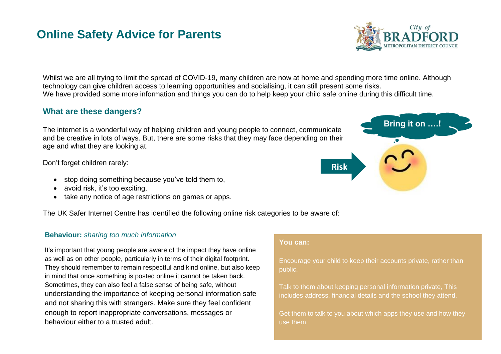

Whilst we are all trying to limit the spread of COVID-19, many children are now at home and spending more time online. Although technology can give children access to learning opportunities and socialising, it can still present some risks. We have provided some more information and things you can do to help keep your child safe online during this difficult time.

## **What are these dangers?**

The internet is a wonderful way of helping children and young people to connect, communicate and be creative in lots of ways. But, there are some risks that they may face depending on their age and what they are looking at.

Don't forget children rarely:

- stop doing something because you've told them to,
- avoid risk, it's too exciting,
- take any notice of age restrictions on games or apps.

The UK Safer Internet Centre has identified the following online risk categories to be aware of:

## **Behaviour:** *sharing too much information*

It's important that young people are aware of the impact they have online as well as on other people, particularly in terms of their digital footprint. They should remember to remain respectful and kind online, but also keep in mind that once something is posted online it cannot be taken back. Sometimes, they can also feel a false sense of being safe, without understanding the importance of keeping personal information safe and not sharing this with strangers. Make sure they feel confident enough to report inappropriate conversations, messages or behaviour either to a trusted adult.

#### **You can:**

Encourage your child to keep their accounts private, rather than public.

Talk to them about keeping personal information private, This includes address, financial details and the school they attend.

Get them to talk to you about which apps they use and how they use them.

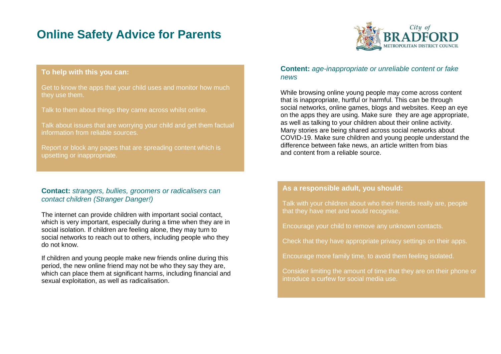

## **To help with this you can:**

Get to know the apps that your child uses and monitor how much they use them.

Talk to them about things they came across whilst online.

Talk about issues that are worrying your child and get them factual information from reliable sources.

Report or block any pages that are spreading content which is upsetting or inappropriate.

## **Contact:** *strangers, bullies, groomers or radicalisers can contact children (Stranger Danger!)*

The internet can provide children with important social contact, which is very important, especially during a time when they are in social isolation. If children are feeling alone, they may turn to social networks to reach out to others, including people who they do not know.

If children and young people make new friends online during this period, the new online friend may not be who they say they are, which can place them at significant harms, including financial and sexual exploitation, as well as radicalisation.

## **Content:** *age-inappropriate or unreliable content or fake news*

While browsing online young people may come across content that is inappropriate, hurtful or harmful. This can be through social networks, online games, blogs and websites. Keep an eye on the apps they are using. Make sure they are age appropriate, as well as talking to your children about their online activity. Many stories are being shared across social networks about COVID-19. Make sure children and young people understand the difference between fake news, an article written from bias and content from a reliable source.

#### **As a responsible adult, you should:**

Talk with your children about who their friends really are, people that they have met and would recognise.

Encourage your child to remove any unknown contacts.

Check that they have appropriate privacy settings on their apps.

Encourage more family time, to avoid them feeling isolated.

Consider limiting the amount of time that they are on their phone or introduce a curfew for social media use.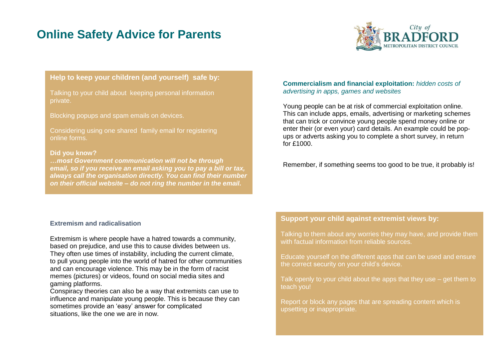

## **Help to keep your children (and yourself) safe by:**

Talking to your child about keeping personal information private.

Blocking popups and spam emails on devices.

Considering using one shared family email for registering online forms.

#### **Did you know?**

*…most Government communication will not be through email, so if you receive an email asking you to pay a bill or tax, always call the organisation directly. You can find their number on their official website – do not ring the number in the email.*

#### **Commercialism and financial exploitation:** *hidden costs of advertising in apps, games and websites*

Young people can be at risk of commercial exploitation online. This can include apps, emails, advertising or marketing schemes that can trick or convince young people spend money online or enter their (or even your) card details. An example could be popups or adverts asking you to complete a short survey, in return for £1000.

Remember, if something seems too good to be true, it probably is!

#### **Extremism and radicalisation**

Extremism is where people have a hatred towards a community, based on prejudice, and use this to cause divides between us. They often use times of instability, including the current climate, to pull young people into the world of hatred for other communities and can encourage violence. This may be in the form of racist memes (pictures) or videos, found on social media sites and gaming platforms.

Conspiracy theories can also be a way that extremists can use to influence and manipulate young people. This is because they can sometimes provide an 'easy' answer for complicated situations, like the one we are in now.

## **Support your child against extremist views by:**

Talking to them about any worries they may have, and provide them with factual information from reliable sources.

Educate yourself on the different apps that can be used and ensure the correct security on your child's device.

Talk openly to your child about the apps that they use - get them to teach you!

Report or block any pages that are spreading content which is upsetting or inappropriate.